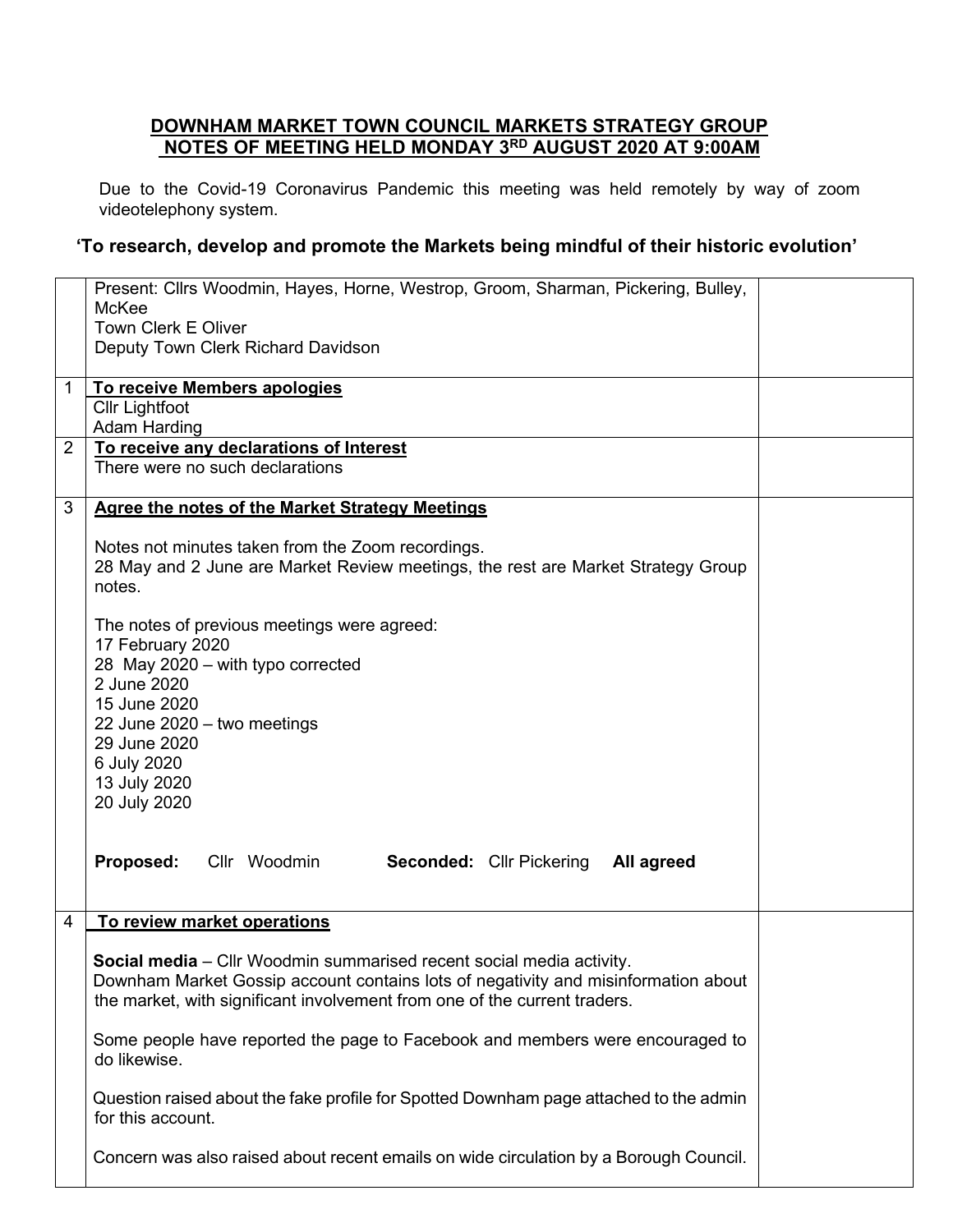## **DOWNHAM MARKET TOWN COUNCIL MARKETS STRATEGY GROUP NOTES OF MEETING HELD MONDAY 3 RD AUGUST 2020 AT 9:00AM**

Due to the Covid-19 Coronavirus Pandemic this meeting was held remotely by way of zoom videotelephony system.

## **'To research, develop and promote the Markets being mindful of their historic evolution'**

| McKee<br><b>Town Clerk E Oliver</b><br>Deputy Town Clerk Richard Davidson<br>To receive Members apologies<br>1<br><b>Cllr Lightfoot</b> |
|-----------------------------------------------------------------------------------------------------------------------------------------|
|                                                                                                                                         |
|                                                                                                                                         |
|                                                                                                                                         |
|                                                                                                                                         |
|                                                                                                                                         |
| <b>Adam Harding</b>                                                                                                                     |
| To receive any declarations of Interest<br>$\overline{2}$                                                                               |
| There were no such declarations                                                                                                         |
| 3<br><b>Agree the notes of the Market Strategy Meetings</b>                                                                             |
|                                                                                                                                         |
| Notes not minutes taken from the Zoom recordings.                                                                                       |
| 28 May and 2 June are Market Review meetings, the rest are Market Strategy Group                                                        |
| notes.                                                                                                                                  |
|                                                                                                                                         |
| The notes of previous meetings were agreed:                                                                                             |
| 17 February 2020                                                                                                                        |
| 28 May 2020 - with typo corrected                                                                                                       |
| 2 June 2020                                                                                                                             |
| 15 June 2020                                                                                                                            |
| 22 June 2020 - two meetings                                                                                                             |
| 29 June 2020                                                                                                                            |
| 6 July 2020                                                                                                                             |
| 13 July 2020<br>20 July 2020                                                                                                            |
|                                                                                                                                         |
|                                                                                                                                         |
| <b>Proposed:</b> Cllr Woodmin<br><b>Seconded: Cllr Pickering</b><br>All agreed                                                          |
|                                                                                                                                         |
| To review market operations<br>4                                                                                                        |
|                                                                                                                                         |
| <b>Social media</b> – Cllr Woodmin summarised recent social media activity.                                                             |
| Downham Market Gossip account contains lots of negativity and misinformation about                                                      |
| the market, with significant involvement from one of the current traders.                                                               |
| Some people have reported the page to Facebook and members were encouraged to                                                           |
| do likewise.                                                                                                                            |
|                                                                                                                                         |
| Question raised about the fake profile for Spotted Downham page attached to the admin                                                   |
| for this account.                                                                                                                       |
|                                                                                                                                         |
| Concern was also raised about recent emails on wide circulation by a Borough Council.                                                   |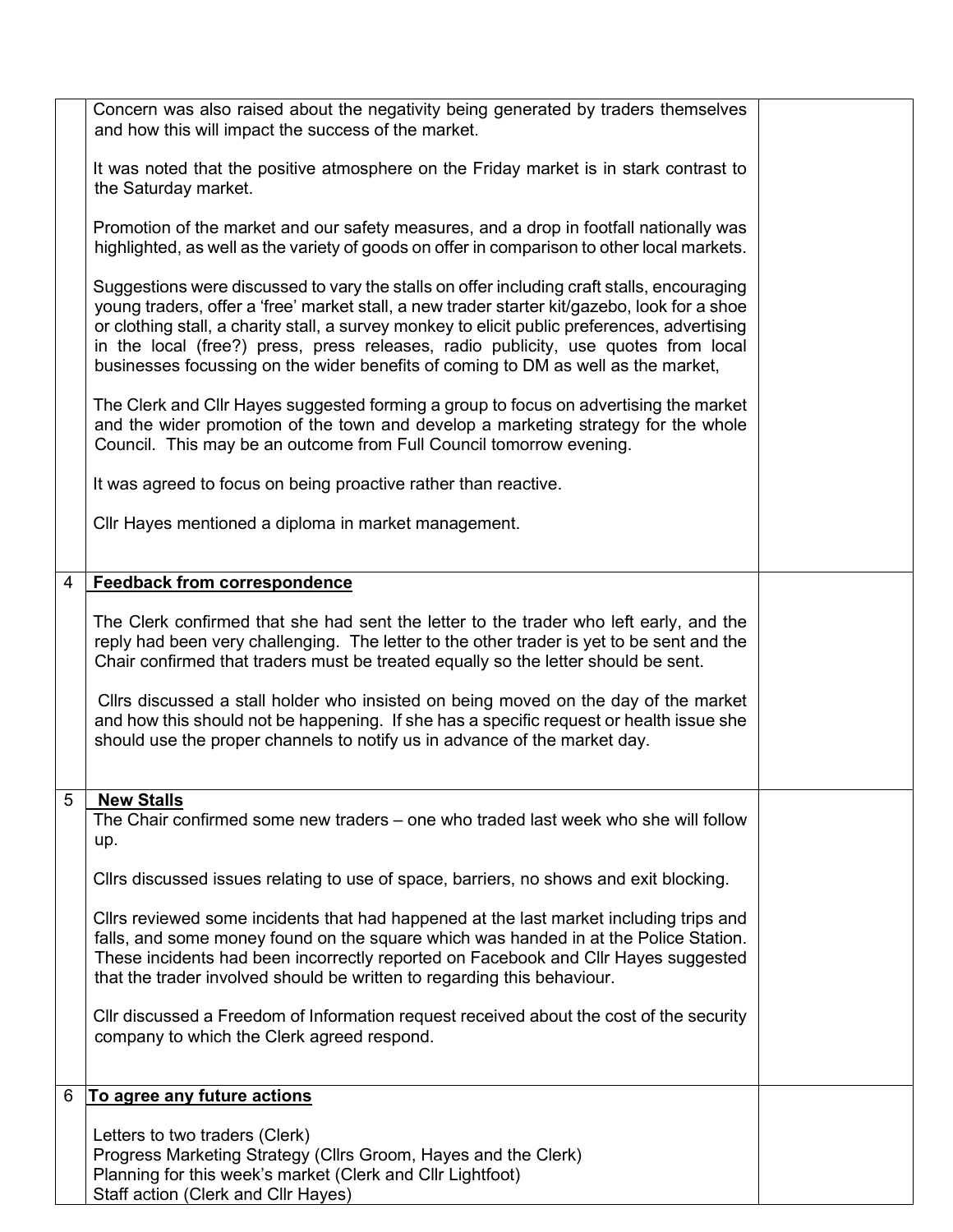|   | Concern was also raised about the negativity being generated by traders themselves<br>and how this will impact the success of the market.                                                                                                                                                                                                                                                                                                                              |  |
|---|------------------------------------------------------------------------------------------------------------------------------------------------------------------------------------------------------------------------------------------------------------------------------------------------------------------------------------------------------------------------------------------------------------------------------------------------------------------------|--|
|   | It was noted that the positive atmosphere on the Friday market is in stark contrast to<br>the Saturday market.                                                                                                                                                                                                                                                                                                                                                         |  |
|   | Promotion of the market and our safety measures, and a drop in footfall nationally was<br>highlighted, as well as the variety of goods on offer in comparison to other local markets.                                                                                                                                                                                                                                                                                  |  |
|   | Suggestions were discussed to vary the stalls on offer including craft stalls, encouraging<br>young traders, offer a 'free' market stall, a new trader starter kit/gazebo, look for a shoe<br>or clothing stall, a charity stall, a survey monkey to elicit public preferences, advertising<br>in the local (free?) press, press releases, radio publicity, use quotes from local<br>businesses focussing on the wider benefits of coming to DM as well as the market, |  |
|   | The Clerk and Cllr Hayes suggested forming a group to focus on advertising the market<br>and the wider promotion of the town and develop a marketing strategy for the whole<br>Council. This may be an outcome from Full Council tomorrow evening.                                                                                                                                                                                                                     |  |
|   | It was agreed to focus on being proactive rather than reactive.                                                                                                                                                                                                                                                                                                                                                                                                        |  |
|   | Cllr Hayes mentioned a diploma in market management.                                                                                                                                                                                                                                                                                                                                                                                                                   |  |
| 4 | <b>Feedback from correspondence</b>                                                                                                                                                                                                                                                                                                                                                                                                                                    |  |
|   | The Clerk confirmed that she had sent the letter to the trader who left early, and the<br>reply had been very challenging. The letter to the other trader is yet to be sent and the<br>Chair confirmed that traders must be treated equally so the letter should be sent.                                                                                                                                                                                              |  |
|   | Cllrs discussed a stall holder who insisted on being moved on the day of the market<br>and how this should not be happening. If she has a specific request or health issue she<br>should use the proper channels to notify us in advance of the market day.                                                                                                                                                                                                            |  |
| 5 | <b>New Stalls</b><br>The Chair confirmed some new traders – one who traded last week who she will follow                                                                                                                                                                                                                                                                                                                                                               |  |
|   | up.                                                                                                                                                                                                                                                                                                                                                                                                                                                                    |  |
|   | Cllrs discussed issues relating to use of space, barriers, no shows and exit blocking.                                                                                                                                                                                                                                                                                                                                                                                 |  |
|   | Cllrs reviewed some incidents that had happened at the last market including trips and<br>falls, and some money found on the square which was handed in at the Police Station.<br>These incidents had been incorrectly reported on Facebook and Cllr Hayes suggested<br>that the trader involved should be written to regarding this behaviour.                                                                                                                        |  |
|   | CIIr discussed a Freedom of Information request received about the cost of the security<br>company to which the Clerk agreed respond.                                                                                                                                                                                                                                                                                                                                  |  |
| 6 | To agree any future actions                                                                                                                                                                                                                                                                                                                                                                                                                                            |  |
|   | Letters to two traders (Clerk)<br>Progress Marketing Strategy (Cllrs Groom, Hayes and the Clerk)<br>Planning for this week's market (Clerk and Cllr Lightfoot)<br>Staff action (Clerk and Cllr Hayes)                                                                                                                                                                                                                                                                  |  |